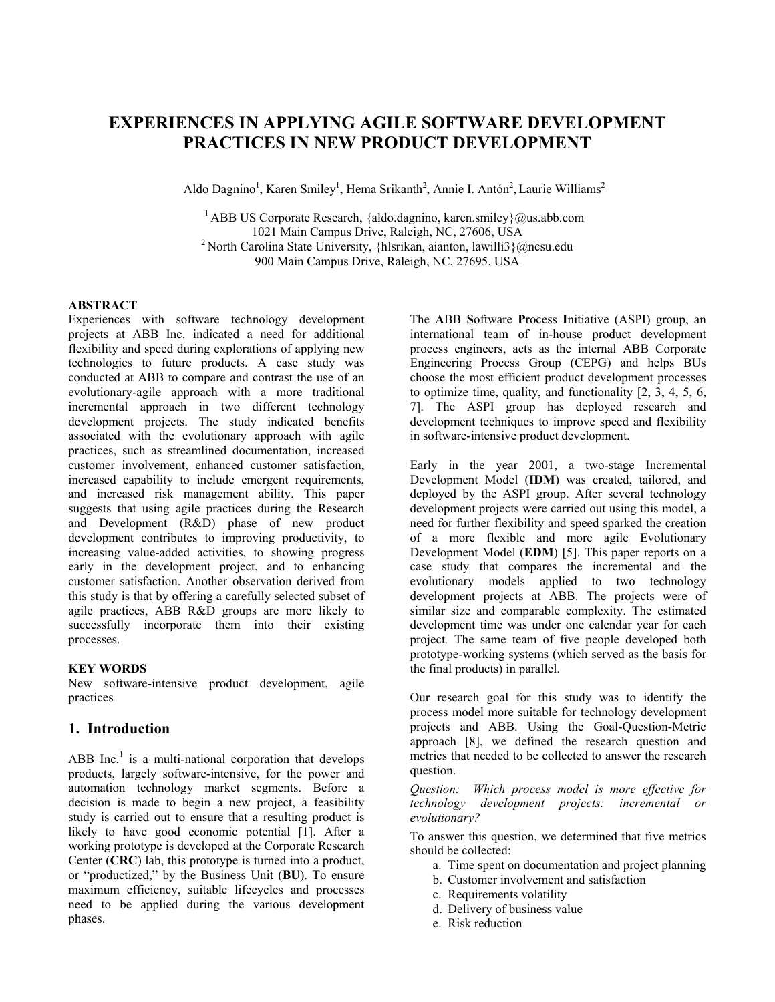# **EXPERIENCES IN APPLYING AGILE SOFTWARE DEVELOPMENT PRACTICES IN NEW PRODUCT DEVELOPMENT**

Aldo Dagnino<sup>1</sup>, Karen Smiley<sup>1</sup>, Hema Srikanth<sup>2</sup>, Annie I. Antón<sup>2</sup>, Laurie Williams<sup>2</sup>

<sup>1</sup> ABB US Corporate Research, {aldo.dagnino, karen.smiley}@us.abb.com 1021 Main Campus Drive, Raleigh, NC, 27606, USA <sup>2</sup> North Carolina State University, {hlsrikan, aianton, lawilli3}@ncsu.edu 900 Main Campus Drive, Raleigh, NC, 27695, USA

#### **ABSTRACT**

Experiences with software technology development projects at ABB Inc. indicated a need for additional flexibility and speed during explorations of applying new technologies to future products. A case study was conducted at ABB to compare and contrast the use of an evolutionary-agile approach with a more traditional incremental approach in two different technology development projects. The study indicated benefits associated with the evolutionary approach with agile practices, such as streamlined documentation, increased customer involvement, enhanced customer satisfaction, increased capability to include emergent requirements, and increased risk management ability. This paper suggests that using agile practices during the Research and Development (R&D) phase of new product development contributes to improving productivity, to increasing value-added activities, to showing progress early in the development project, and to enhancing customer satisfaction. Another observation derived from this study is that by offering a carefully selected subset of agile practices, ABB R&D groups are more likely to successfully incorporate them into their existing processes.

#### **KEY WORDS**

New software-intensive product development, agile practices

# **1. Introduction**

ABB Inc.<sup>1</sup> is a multi-national corporation that develops products, largely software-intensive, for the power and automation technology market segments. Before a decision is made to begin a new project, a feasibility study is carried out to ensure that a resulting product is likely to have good economic potential [1]. After a working prototype is developed at the Corporate Research Center (**CRC**) lab, this prototype is turned into a product, or "productized," by the Business Unit (**BU**). To ensure maximum efficiency, suitable lifecycles and processes need to be applied during the various development phases.

The **A**BB **S**oftware **P**rocess **I**nitiative (ASPI) group, an international team of in-house product development process engineers, acts as the internal ABB Corporate Engineering Process Group (CEPG) and helps BUs choose the most efficient product development processes to optimize time, quality, and functionality  $[2, 3, 4, 5, 6]$ 7]. The ASPI group has deployed research and development techniques to improve speed and flexibility in software-intensive product development.

Early in the year 2001, a two-stage Incremental Development Model (**IDM**) was created, tailored, and deployed by the ASPI group. After several technology development projects were carried out using this model, a need for further flexibility and speed sparked the creation of a more flexible and more agile Evolutionary Development Model (**EDM**) [5]. This paper reports on a case study that compares the incremental and the evolutionary models applied to two technology development projects at ABB. The projects were of similar size and comparable complexity. The estimated development time was under one calendar year for each project*.* The same team of five people developed both prototype-working systems (which served as the basis for the final products) in parallel.

Our research goal for this study was to identify the process model more suitable for technology development projects and ABB. Using the Goal-Question-Metric approach [8], we defined the research question and metrics that needed to be collected to answer the research question.

*Question: Which process model is more effective for technology development projects: incremental or evolutionary?* 

To answer this question, we determined that five metrics should be collected:

- a. Time spent on documentation and project planning
- b. Customer involvement and satisfaction
- c. Requirements volatility
- d. Delivery of business value
- e. Risk reduction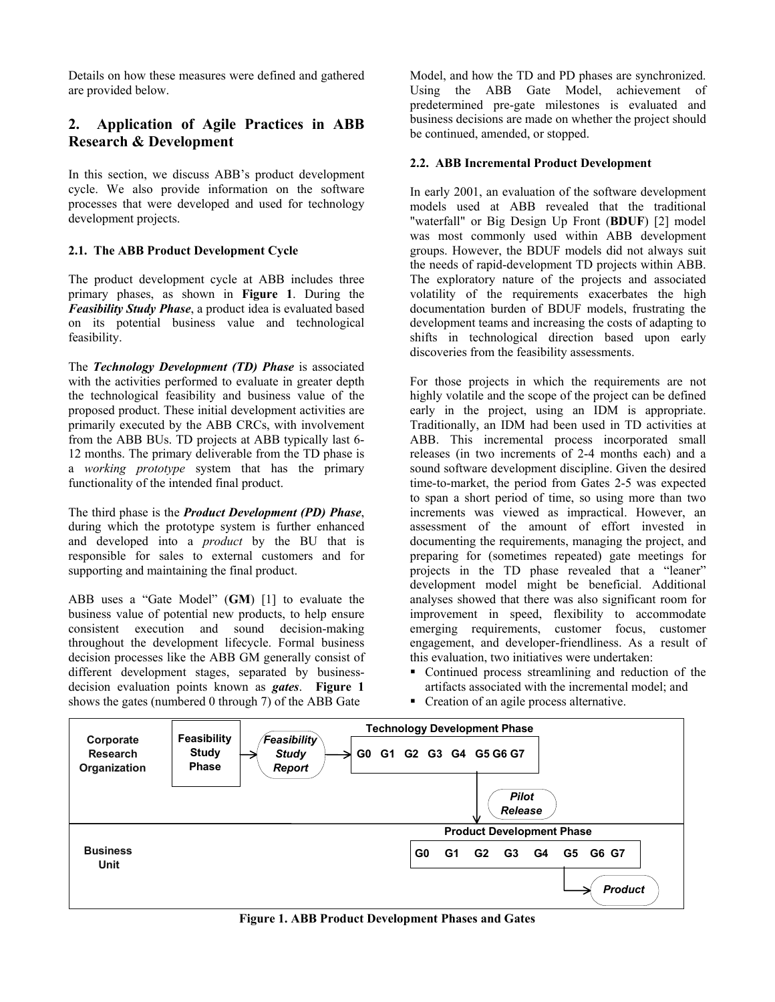Details on how these measures were defined and gathered are provided below.

# **2. Application of Agile Practices in ABB Research & Development**

In this section, we discuss ABB's product development cycle. We also provide information on the software processes that were developed and used for technology development projects.

# **2.1. The ABB Product Development Cycle**

The product development cycle at ABB includes three primary phases, as shown in **Figure 1**. During the *Feasibility Study Phase*, a product idea is evaluated based on its potential business value and technological feasibility.

The *Technology Development (TD) Phase* is associated with the activities performed to evaluate in greater depth the technological feasibility and business value of the proposed product. These initial development activities are primarily executed by the ABB CRCs, with involvement from the ABB BUs. TD projects at ABB typically last 6- 12 months. The primary deliverable from the TD phase is a *working prototype* system that has the primary functionality of the intended final product.

The third phase is the *Product Development (PD) Phase*, during which the prototype system is further enhanced and developed into a *product* by the BU that is responsible for sales to external customers and for supporting and maintaining the final product.

ABB uses a "Gate Model" (**GM**) [1] to evaluate the business value of potential new products, to help ensure consistent execution and sound decision-making throughout the development lifecycle. Formal business decision processes like the ABB GM generally consist of different development stages, separated by businessdecision evaluation points known as *gates*. **Figure 1** shows the gates (numbered 0 through 7) of the ABB Gate

Model, and how the TD and PD phases are synchronized. Using the ABB Gate Model, achievement of predetermined pre-gate milestones is evaluated and business decisions are made on whether the project should be continued, amended, or stopped.

# **2.2. ABB Incremental Product Development**

In early 2001, an evaluation of the software development models used at ABB revealed that the traditional "waterfall" or Big Design Up Front (**BDUF**) [2] model was most commonly used within ABB development groups. However, the BDUF models did not always suit the needs of rapid-development TD projects within ABB. The exploratory nature of the projects and associated volatility of the requirements exacerbates the high documentation burden of BDUF models, frustrating the development teams and increasing the costs of adapting to shifts in technological direction based upon early discoveries from the feasibility assessments.

For those projects in which the requirements are not highly volatile and the scope of the project can be defined early in the project, using an IDM is appropriate. Traditionally, an IDM had been used in TD activities at ABB. This incremental process incorporated small releases (in two increments of 2-4 months each) and a sound software development discipline. Given the desired time-to-market, the period from Gates 2-5 was expected to span a short period of time, so using more than two increments was viewed as impractical. However, an assessment of the amount of effort invested in documenting the requirements, managing the project, and preparing for (sometimes repeated) gate meetings for projects in the TD phase revealed that a "leaner" development model might be beneficial. Additional analyses showed that there was also significant room for improvement in speed, flexibility to accommodate emerging requirements, customer focus, customer engagement, and developer-friendliness. As a result of this evaluation, two initiatives were undertaken:

- Continued process streamlining and reduction of the artifacts associated with the incremental model; and
- Creation of an agile process alternative.



**Figure 1. ABB Product Development Phases and Gates**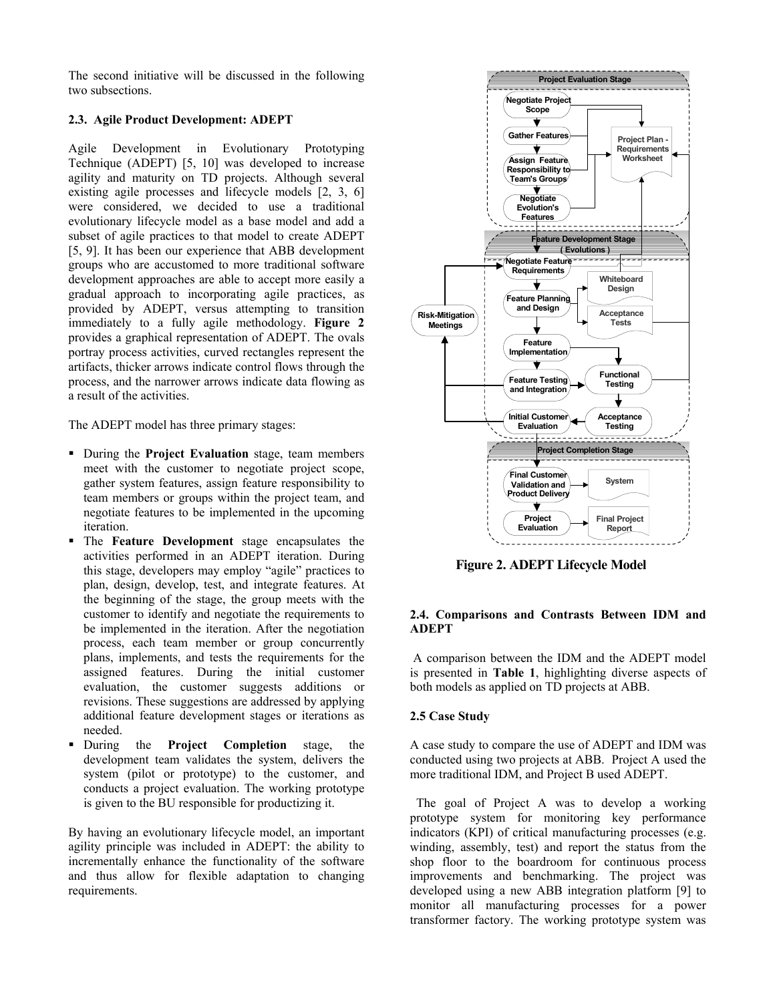The second initiative will be discussed in the following two subsections.

# **2.3. Agile Product Development: ADEPT**

Agile Development in Evolutionary Prototyping Technique (ADEPT) [5, 10] was developed to increase agility and maturity on TD projects. Although several existing agile processes and lifecycle models [2, 3, 6] were considered, we decided to use a traditional evolutionary lifecycle model as a base model and add a subset of agile practices to that model to create ADEPT [5, 9]. It has been our experience that ABB development groups who are accustomed to more traditional software development approaches are able to accept more easily a gradual approach to incorporating agile practices, as provided by ADEPT, versus attempting to transition immediately to a fully agile methodology. **Figure 2** provides a graphical representation of ADEPT. The ovals portray process activities, curved rectangles represent the artifacts, thicker arrows indicate control flows through the process, and the narrower arrows indicate data flowing as a result of the activities.

The ADEPT model has three primary stages:

- During the **Project Evaluation** stage, team members meet with the customer to negotiate project scope, gather system features, assign feature responsibility to team members or groups within the project team, and negotiate features to be implemented in the upcoming iteration.
- The **Feature Development** stage encapsulates the activities performed in an ADEPT iteration. During this stage, developers may employ "agile" practices to plan, design, develop, test, and integrate features. At the beginning of the stage, the group meets with the customer to identify and negotiate the requirements to be implemented in the iteration. After the negotiation process, each team member or group concurrently plans, implements, and tests the requirements for the assigned features. During the initial customer evaluation, the customer suggests additions or revisions. These suggestions are addressed by applying additional feature development stages or iterations as needed.
- During the **Project Completion** stage, the development team validates the system, delivers the system (pilot or prototype) to the customer, and conducts a project evaluation. The working prototype is given to the BU responsible for productizing it.

By having an evolutionary lifecycle model, an important agility principle was included in ADEPT: the ability to incrementally enhance the functionality of the software and thus allow for flexible adaptation to changing requirements.



**Figure 2. ADEPT Lifecycle Model** 

#### **2.4. Comparisons and Contrasts Between IDM and ADEPT**

 A comparison between the IDM and the ADEPT model is presented in **Table 1**, highlighting diverse aspects of both models as applied on TD projects at ABB.

#### **2.5 Case Study**

A case study to compare the use of ADEPT and IDM was conducted using two projects at ABB. Project A used the more traditional IDM, and Project B used ADEPT.

 The goal of Project A was to develop a working prototype system for monitoring key performance indicators (KPI) of critical manufacturing processes (e.g. winding, assembly, test) and report the status from the shop floor to the boardroom for continuous process improvements and benchmarking. The project was developed using a new ABB integration platform [9] to monitor all manufacturing processes for a power transformer factory. The working prototype system was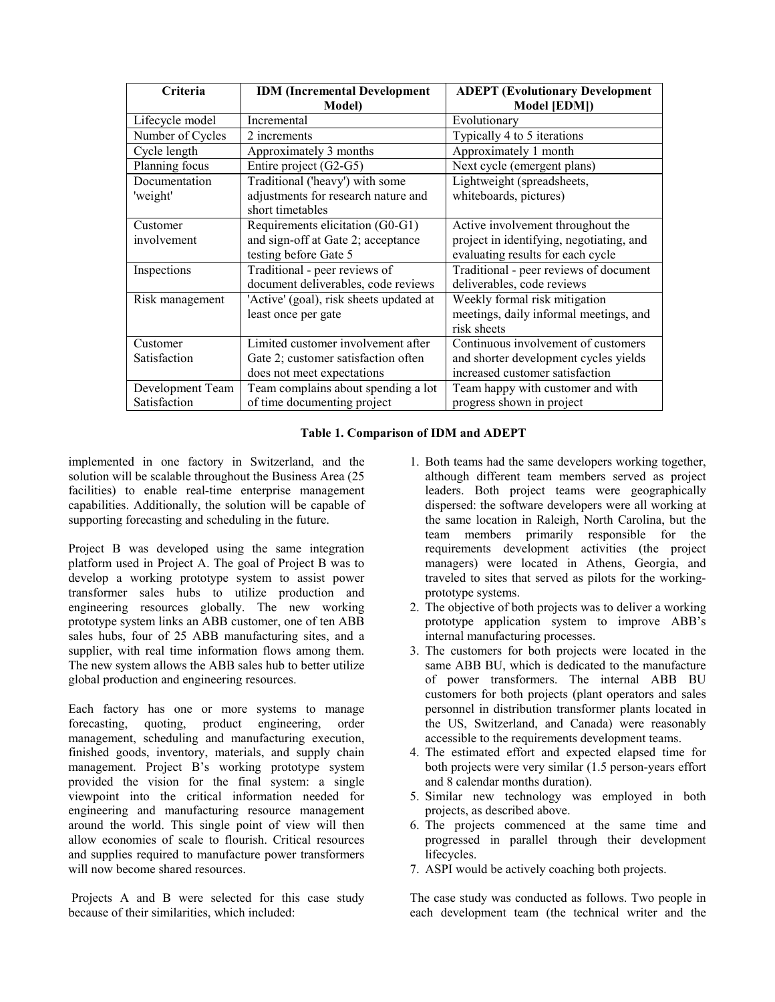| Criteria         | <b>IDM</b> (Incremental Development     | <b>ADEPT</b> (Evolutionary Development   |  |
|------------------|-----------------------------------------|------------------------------------------|--|
|                  | <b>Model</b> )                          | Model [EDM])                             |  |
| Lifecycle model  | Incremental                             | Evolutionary                             |  |
| Number of Cycles | 2 increments                            | Typically 4 to 5 iterations              |  |
| Cycle length     | Approximately 3 months                  | Approximately 1 month                    |  |
| Planning focus   | Entire project (G2-G5)                  | Next cycle (emergent plans)              |  |
| Documentation    | Traditional ('heavy') with some         | Lightweight (spreadsheets,               |  |
| 'weight'         | adjustments for research nature and     | whiteboards, pictures)                   |  |
|                  | short timetables                        |                                          |  |
| Customer         | Requirements elicitation (G0-G1)        | Active involvement throughout the        |  |
| involvement      | and sign-off at Gate 2; acceptance      | project in identifying, negotiating, and |  |
|                  | testing before Gate 5                   | evaluating results for each cycle        |  |
| Inspections      | Traditional - peer reviews of           | Traditional - peer reviews of document   |  |
|                  | document deliverables, code reviews     | deliverables, code reviews               |  |
| Risk management  | 'Active' (goal), risk sheets updated at | Weekly formal risk mitigation            |  |
|                  | least once per gate                     | meetings, daily informal meetings, and   |  |
|                  |                                         | risk sheets                              |  |
| Customer         | Limited customer involvement after      | Continuous involvement of customers      |  |
| Satisfaction     | Gate 2; customer satisfaction often     | and shorter development cycles yields    |  |
|                  | does not meet expectations              | increased customer satisfaction          |  |
| Development Team | Team complains about spending a lot     | Team happy with customer and with        |  |
| Satisfaction     | of time documenting project             | progress shown in project                |  |

#### **Table 1. Comparison of IDM and ADEPT**

implemented in one factory in Switzerland, and the solution will be scalable throughout the Business Area (25 facilities) to enable real-time enterprise management capabilities. Additionally, the solution will be capable of supporting forecasting and scheduling in the future.

Project B was developed using the same integration platform used in Project A. The goal of Project B was to develop a working prototype system to assist power transformer sales hubs to utilize production and engineering resources globally. The new working prototype system links an ABB customer, one of ten ABB sales hubs, four of 25 ABB manufacturing sites, and a supplier, with real time information flows among them. The new system allows the ABB sales hub to better utilize global production and engineering resources.

Each factory has one or more systems to manage forecasting, quoting, product engineering, order management, scheduling and manufacturing execution, finished goods, inventory, materials, and supply chain management. Project B's working prototype system provided the vision for the final system: a single viewpoint into the critical information needed for engineering and manufacturing resource management around the world. This single point of view will then allow economies of scale to flourish. Critical resources and supplies required to manufacture power transformers will now become shared resources.

 Projects A and B were selected for this case study because of their similarities, which included:

- 1. Both teams had the same developers working together, although different team members served as project leaders. Both project teams were geographically dispersed: the software developers were all working at the same location in Raleigh, North Carolina, but the team members primarily responsible for the requirements development activities (the project managers) were located in Athens, Georgia, and traveled to sites that served as pilots for the workingprototype systems.
- 2. The objective of both projects was to deliver a working prototype application system to improve ABB's internal manufacturing processes.
- 3. The customers for both projects were located in the same ABB BU, which is dedicated to the manufacture of power transformers. The internal ABB BU customers for both projects (plant operators and sales personnel in distribution transformer plants located in the US, Switzerland, and Canada) were reasonably accessible to the requirements development teams.
- 4. The estimated effort and expected elapsed time for both projects were very similar (1.5 person-years effort and 8 calendar months duration).
- 5. Similar new technology was employed in both projects, as described above.
- 6. The projects commenced at the same time and progressed in parallel through their development lifecycles.
- 7. ASPI would be actively coaching both projects.

The case study was conducted as follows. Two people in each development team (the technical writer and the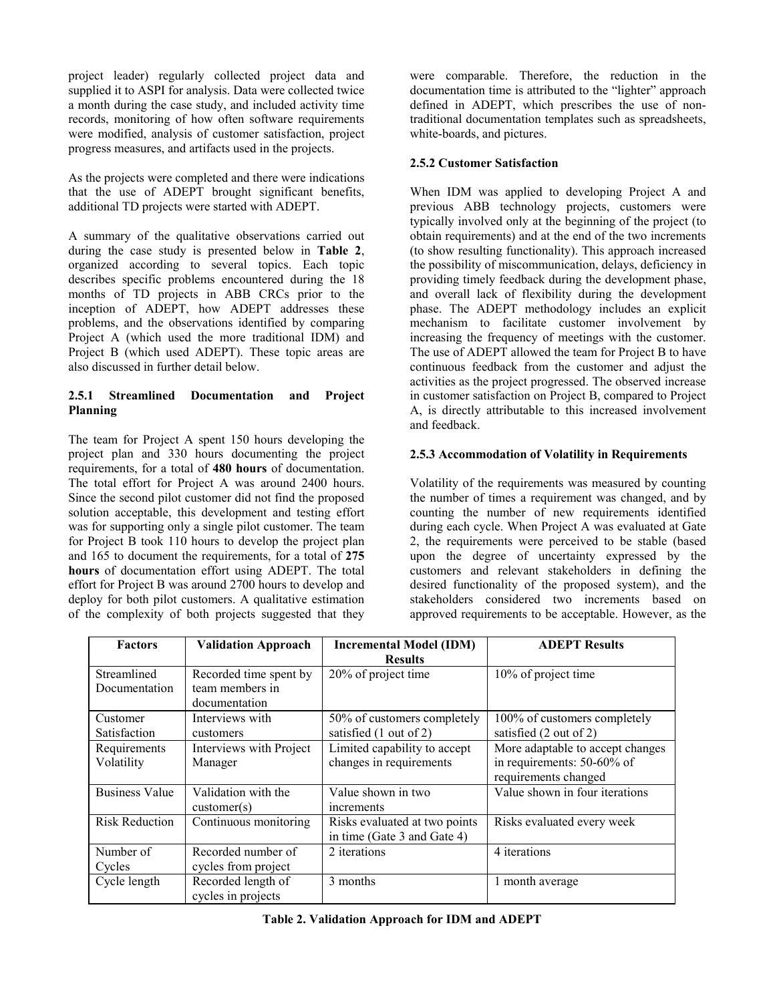project leader) regularly collected project data and supplied it to ASPI for analysis. Data were collected twice a month during the case study, and included activity time records, monitoring of how often software requirements were modified, analysis of customer satisfaction, project progress measures, and artifacts used in the projects.

As the projects were completed and there were indications that the use of ADEPT brought significant benefits, additional TD projects were started with ADEPT.

A summary of the qualitative observations carried out during the case study is presented below in **Table 2**, organized according to several topics. Each topic describes specific problems encountered during the 18 months of TD projects in ABB CRCs prior to the inception of ADEPT, how ADEPT addresses these problems, and the observations identified by comparing Project A (which used the more traditional IDM) and Project B (which used ADEPT). These topic areas are also discussed in further detail below.

#### **2.5.1 Streamlined Documentation and Project Planning**

The team for Project A spent 150 hours developing the project plan and 330 hours documenting the project requirements, for a total of **480 hours** of documentation. The total effort for Project A was around 2400 hours. Since the second pilot customer did not find the proposed solution acceptable, this development and testing effort was for supporting only a single pilot customer. The team for Project B took 110 hours to develop the project plan and 165 to document the requirements, for a total of **275 hours** of documentation effort using ADEPT. The total effort for Project B was around 2700 hours to develop and deploy for both pilot customers. A qualitative estimation of the complexity of both projects suggested that they

were comparable. Therefore, the reduction in the documentation time is attributed to the "lighter" approach defined in ADEPT, which prescribes the use of nontraditional documentation templates such as spreadsheets, white-boards, and pictures.

# **2.5.2 Customer Satisfaction**

When IDM was applied to developing Project A and previous ABB technology projects, customers were typically involved only at the beginning of the project (to obtain requirements) and at the end of the two increments (to show resulting functionality). This approach increased the possibility of miscommunication, delays, deficiency in providing timely feedback during the development phase, and overall lack of flexibility during the development phase. The ADEPT methodology includes an explicit mechanism to facilitate customer involvement by increasing the frequency of meetings with the customer. The use of ADEPT allowed the team for Project B to have continuous feedback from the customer and adjust the activities as the project progressed. The observed increase in customer satisfaction on Project B, compared to Project A, is directly attributable to this increased involvement and feedback.

#### **2.5.3 Accommodation of Volatility in Requirements**

Volatility of the requirements was measured by counting the number of times a requirement was changed, and by counting the number of new requirements identified during each cycle. When Project A was evaluated at Gate 2, the requirements were perceived to be stable (based upon the degree of uncertainty expressed by the customers and relevant stakeholders in defining the desired functionality of the proposed system), and the stakeholders considered two increments based on approved requirements to be acceptable. However, as the

| <b>Factors</b>        | <b>Validation Approach</b> | <b>Incremental Model (IDM)</b> | <b>ADEPT Results</b>             |  |
|-----------------------|----------------------------|--------------------------------|----------------------------------|--|
|                       |                            | <b>Results</b>                 |                                  |  |
| Streamlined           | Recorded time spent by     | 20% of project time            | 10% of project time              |  |
| Documentation         | team members in            |                                |                                  |  |
|                       | documentation              |                                |                                  |  |
| Customer              | Interviews with            | 50% of customers completely    | 100% of customers completely     |  |
| Satisfaction          | customers                  | satisfied (1 out of 2)         | satisfied (2 out of 2)           |  |
| Requirements          | Interviews with Project    | Limited capability to accept   | More adaptable to accept changes |  |
| Volatility            | Manager                    | changes in requirements        | in requirements: 50-60% of       |  |
|                       |                            |                                | requirements changed             |  |
| <b>Business Value</b> | Validation with the        | Value shown in two             | Value shown in four iterations   |  |
|                       | $\text{customer}(s)$       | increments                     |                                  |  |
| <b>Risk Reduction</b> | Continuous monitoring      | Risks evaluated at two points  | Risks evaluated every week       |  |
|                       |                            | in time (Gate 3 and Gate 4)    |                                  |  |
| Number of             | Recorded number of         | 2 iterations                   | 4 iterations                     |  |
| Cycles                | cycles from project        |                                |                                  |  |
| Cycle length          | Recorded length of         | 3 months                       | 1 month average                  |  |
|                       | cycles in projects         |                                |                                  |  |